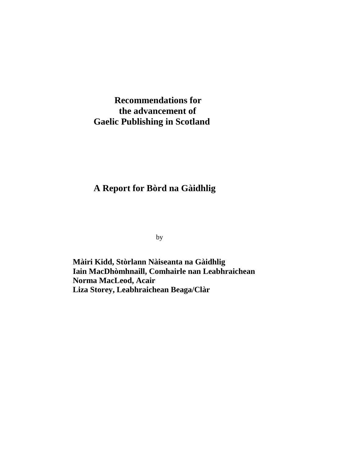### **Recommendations for the advancement of Gaelic Publishing in Scotland**

### **A Report for Bòrd na Gàidhlig**

by

**Màiri Kidd, Stòrlann Nàiseanta na Gàidhlig Iain MacDhòmhnaill, Comhairle nan Leabhraichean Norma MacLeod, Acair Liza Storey, Leabhraichean Beaga/Clàr**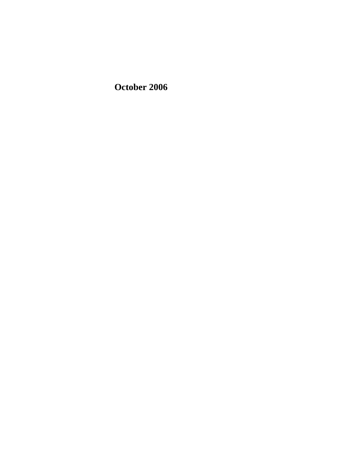**October 2006**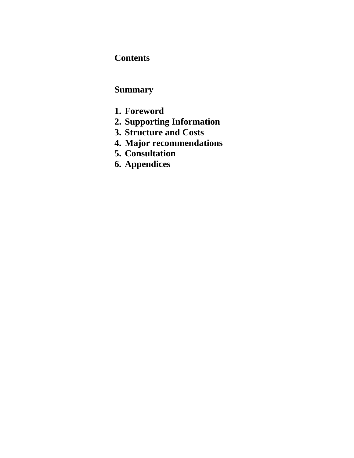## **Contents**

## **Summary**

- **1. Foreword**
- **2. Supporting Information**
- **3. Structure and Costs**
- **4. Major recommendations**
- **5. Consultation**
- **6. Appendices**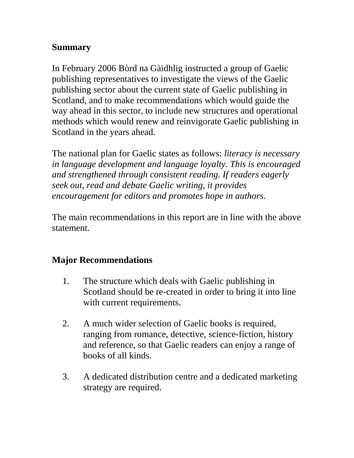## **Summary**

In February 2006 Bòrd na Gàidhlig instructed a group of Gaelic publishing representatives to investigate the views of the Gaelic publishing sector about the current state of Gaelic publishing in Scotland, and to make recommendations which would guide the way ahead in this sector, to include new structures and operational methods which would renew and reinvigorate Gaelic publishing in Scotland in the years ahead.

The national plan for Gaelic states as follows: *literacy is necessary in language development and language loyalty. This is encouraged and strengthened through consistent reading. If readers eagerly seek out, read and debate Gaelic writing, it provides encouragement for editors and promotes hope in authors.*

The main recommendations in this report are in line with the above statement.

## **Major Recommendations**

- 1. The structure which deals with Gaelic publishing in Scotland should be re-created in order to bring it into line with current requirements.
- 2. A much wider selection of Gaelic books is required, ranging from romance, detective, science-fiction, history and reference, so that Gaelic readers can enjoy a range of books of all kinds.
- 3. A dedicated distribution centre and a dedicated marketing strategy are required.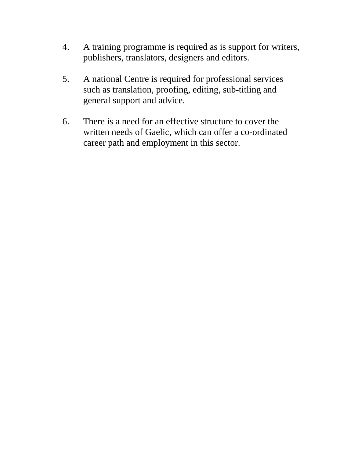- 4. A training programme is required as is support for writers, publishers, translators, designers and editors.
- 5. A national Centre is required for professional services such as translation, proofing, editing, sub-titling and general support and advice.
- 6. There is a need for an effective structure to cover the written needs of Gaelic, which can offer a co-ordinated career path and employment in this sector.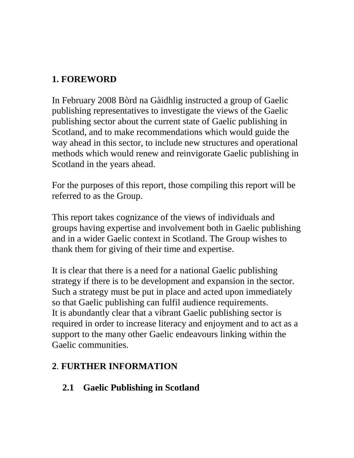## **1. FOREWORD**

In February 2008 Bòrd na Gàidhlig instructed a group of Gaelic publishing representatives to investigate the views of the Gaelic publishing sector about the current state of Gaelic publishing in Scotland, and to make recommendations which would guide the way ahead in this sector, to include new structures and operational methods which would renew and reinvigorate Gaelic publishing in Scotland in the years ahead.

For the purposes of this report, those compiling this report will be referred to as the Group.

This report takes cognizance of the views of individuals and groups having expertise and involvement both in Gaelic publishing and in a wider Gaelic context in Scotland. The Group wishes to thank them for giving of their time and expertise.

It is clear that there is a need for a national Gaelic publishing strategy if there is to be development and expansion in the sector. Such a strategy must be put in place and acted upon immediately so that Gaelic publishing can fulfil audience requirements. It is abundantly clear that a vibrant Gaelic publishing sector is required in order to increase literacy and enjoyment and to act as a support to the many other Gaelic endeavours linking within the Gaelic communities.

## **2**. **FURTHER INFORMATION**

## **2.1 Gaelic Publishing in Scotland**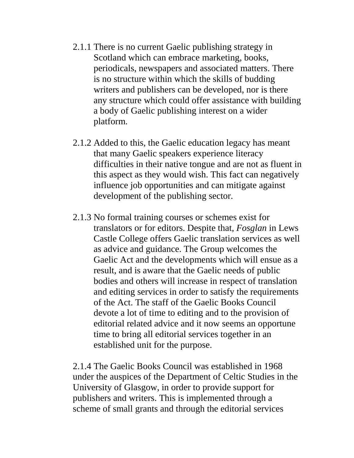- 2.1.1 There is no current Gaelic publishing strategy in Scotland which can embrace marketing, books, periodicals, newspapers and associated matters. There is no structure within which the skills of budding writers and publishers can be developed, nor is there any structure which could offer assistance with building a body of Gaelic publishing interest on a wider platform.
- 2.1.2 Added to this, the Gaelic education legacy has meant that many Gaelic speakers experience literacy difficulties in their native tongue and are not as fluent in this aspect as they would wish. This fact can negatively influence job opportunities and can mitigate against development of the publishing sector.
- 2.1.3 No formal training courses or schemes exist for translators or for editors. Despite that, *Fosglan* in Lews Castle College offers Gaelic translation services as well as advice and guidance. The Group welcomes the Gaelic Act and the developments which will ensue as a result, and is aware that the Gaelic needs of public bodies and others will increase in respect of translation and editing services in order to satisfy the requirements of the Act. The staff of the Gaelic Books Council devote a lot of time to editing and to the provision of editorial related advice and it now seems an opportune time to bring all editorial services together in an established unit for the purpose.

2.1.4 The Gaelic Books Council was established in 1968 under the auspices of the Department of Celtic Studies in the University of Glasgow, in order to provide support for publishers and writers. This is implemented through a scheme of small grants and through the editorial services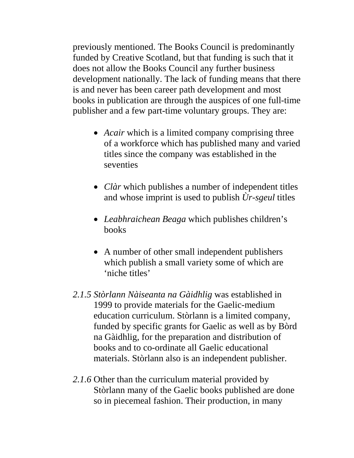previously mentioned. The Books Council is predominantly funded by Creative Scotland, but that funding is such that it does not allow the Books Council any further business development nationally. The lack of funding means that there is and never has been career path development and most books in publication are through the auspices of one full-time publisher and a few part-time voluntary groups. They are:

- *Acair* which is a limited company comprising three of a workforce which has published many and varied titles since the company was established in the seventies
- *Clàr* which publishes a number of independent titles and whose imprint is used to publish *Ùr-sgeul* titles
- *Leabhraichean Beaga* which publishes children's books
- A number of other small independent publishers which publish a small variety some of which are 'niche titles'
- *2.1.5 Stòrlann Nàiseanta na Gàidhlig* was established in 1999 to provide materials for the Gaelic-medium education curriculum. Stòrlann is a limited company, funded by specific grants for Gaelic as well as by Bòrd na Gàidhlig, for the preparation and distribution of books and to co-ordinate all Gaelic educational materials. Stòrlann also is an independent publisher.
- *2.1.6* Other than the curriculum material provided by Stòrlann many of the Gaelic books published are done so in piecemeal fashion. Their production, in many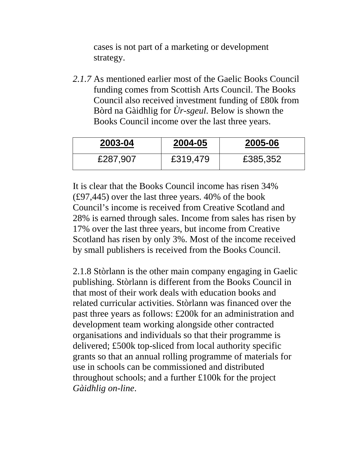cases is not part of a marketing or development strategy.

*2.1.7* As mentioned earlier most of the Gaelic Books Council funding comes from Scottish Arts Council. The Books Council also received investment funding of £80k from Bòrd na Gàidhlig for *Ùr-sgeul*. Below is shown the Books Council income over the last three years.

| 2003-04  | 2004-05  | 2005-06  |
|----------|----------|----------|
| £287,907 | £319,479 | £385,352 |

It is clear that the Books Council income has risen 34% (£97,445) over the last three years. 40% of the book Council's income is received from Creative Scotland and 28% is earned through sales. Income from sales has risen by 17% over the last three years, but income from Creative Scotland has risen by only 3%. Most of the income received by small publishers is received from the Books Council.

2.1.8 Stòrlann is the other main company engaging in Gaelic publishing. Stòrlann is different from the Books Council in that most of their work deals with education books and related curricular activities. Stòrlann was financed over the past three years as follows: £200k for an administration and development team working alongside other contracted organisations and individuals so that their programme is delivered; £500k top-sliced from local authority specific grants so that an annual rolling programme of materials for use in schools can be commissioned and distributed throughout schools; and a further £100k for the project *Gàidhlig on-line*.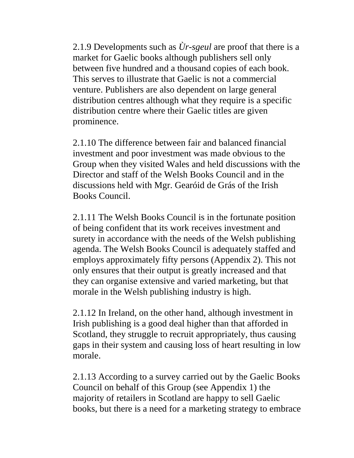2.1.9 Developments such as *Ùr-sgeul* are proof that there is a market for Gaelic books although publishers sell only between five hundred and a thousand copies of each book. This serves to illustrate that Gaelic is not a commercial venture. Publishers are also dependent on large general distribution centres although what they require is a specific distribution centre where their Gaelic titles are given prominence.

2.1.10 The difference between fair and balanced financial investment and poor investment was made obvious to the Group when they visited Wales and held discussions with the Director and staff of the Welsh Books Council and in the discussions held with Mgr. Gearóid de Grás of the Irish Books Council.

2.1.11 The Welsh Books Council is in the fortunate position of being confident that its work receives investment and surety in accordance with the needs of the Welsh publishing agenda. The Welsh Books Council is adequately staffed and employs approximately fifty persons (Appendix 2). This not only ensures that their output is greatly increased and that they can organise extensive and varied marketing, but that morale in the Welsh publishing industry is high.

2.1.12 In Ireland, on the other hand, although investment in Irish publishing is a good deal higher than that afforded in Scotland, they struggle to recruit appropriately, thus causing gaps in their system and causing loss of heart resulting in low morale.

2.1.13 According to a survey carried out by the Gaelic Books Council on behalf of this Group (see Appendix 1) the majority of retailers in Scotland are happy to sell Gaelic books, but there is a need for a marketing strategy to embrace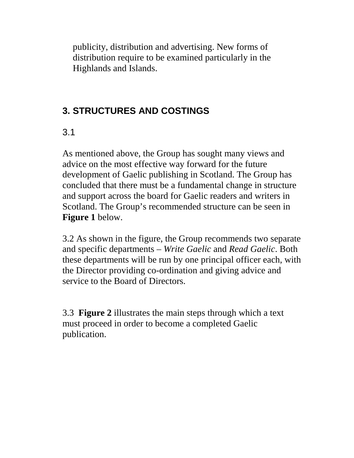publicity, distribution and advertising. New forms of distribution require to be examined particularly in the Highlands and Islands.

## **3. STRUCTURES AND COSTINGS**

## 3.1

As mentioned above, the Group has sought many views and advice on the most effective way forward for the future development of Gaelic publishing in Scotland. The Group has concluded that there must be a fundamental change in structure and support across the board for Gaelic readers and writers in Scotland. The Group's recommended structure can be seen in **Figure 1** below.

3.2 As shown in the figure, the Group recommends two separate and specific departments – *Write Gaelic* and *Read Gaelic*. Both these departments will be run by one principal officer each, with the Director providing co-ordination and giving advice and service to the Board of Directors.

3.3 **Figure 2** illustrates the main steps through which a text must proceed in order to become a completed Gaelic publication.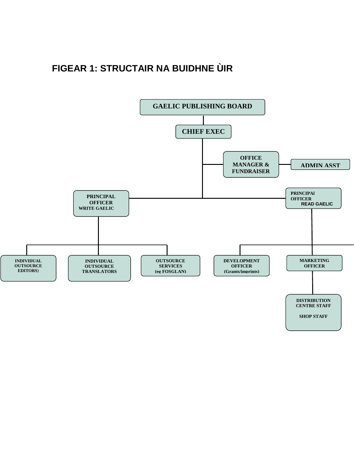## **FIGEAR 1: STRUCTAIR NA BUIDHNE ÙIR**

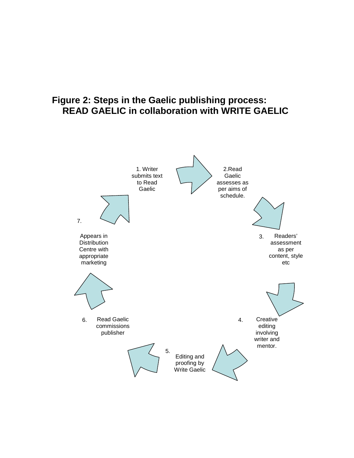## **Figure 2: Steps in the Gaelic publishing process: READ GAELIC in collaboration with WRITE GAELIC**

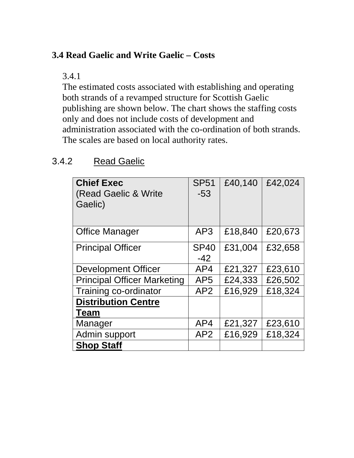## **3.4 Read Gaelic and Write Gaelic – Costs**

3.4.1

The estimated costs associated with establishing and operating both strands of a revamped structure for Scottish Gaelic publishing are shown below. The chart shows the staffing costs only and does not include costs of development and administration associated with the co-ordination of both strands. The scales are based on local authority rates.

| <b>Chief Exec</b><br>(Read Gaelic & Write<br>Gaelic) | <b>SP51</b><br>$-53$ | £40,140 | £42,024 |
|------------------------------------------------------|----------------------|---------|---------|
| <b>Office Manager</b>                                | AP3                  | £18,840 | £20,673 |
| <b>Principal Officer</b>                             | <b>SP40</b><br>$-42$ | £31,004 | £32,658 |
| <b>Development Officer</b>                           | AP4                  | £21,327 | £23,610 |
| <b>Principal Officer Marketing</b>                   | AP <sub>5</sub>      | £24,333 | £26,502 |
| Training co-ordinator                                | AP2                  | £16,929 | £18,324 |
| <b>Distribution Centre</b>                           |                      |         |         |
| <b>Team</b>                                          |                      |         |         |
| Manager                                              | AP4                  | £21,327 | £23,610 |
| Admin support                                        | AP2                  | £16,929 | £18,324 |
| <b>Shop Staff</b>                                    |                      |         |         |

## 3.4.2 Read Gaelic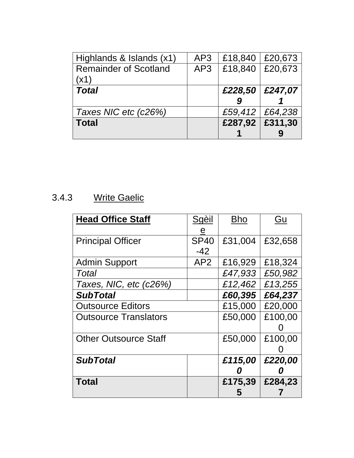| Highlands & Islands (x1)     | AP3 | £18,840 | £20,673           |
|------------------------------|-----|---------|-------------------|
| <b>Remainder of Scotland</b> | AP3 | £18,840 | £20,673           |
| (x1)                         |     |         |                   |
| <b>Total</b>                 |     | £228,50 | £247,07           |
|                              |     |         |                   |
|                              |     |         |                   |
| Taxes NIC etc (c26%)         |     |         | £59,412   £64,238 |
| <b>Total</b>                 |     | £287,92 | £311,30           |

# 3.4.3 Write Gaelic

| <b>Head Office Staff</b>     | Sgèil<br><u>e</u>    | <b>Bho</b> | Gu      |
|------------------------------|----------------------|------------|---------|
| <b>Principal Officer</b>     | <b>SP40</b><br>$-42$ | £31,004    | £32,658 |
| <b>Admin Support</b>         | AP2                  | £16,929    | £18,324 |
| Total                        |                      | £47,933    | £50,982 |
| Taxes, NIC, etc (c26%)       |                      | £12,462    | £13,255 |
| <b>SubTotal</b>              |                      | £60,395    | £64,237 |
| <b>Outsource Editors</b>     |                      | £15,000    | £20,000 |
| <b>Outsource Translators</b> |                      | £50,000    | £100,00 |
| <b>Other Outsource Staff</b> |                      | £50,000    | £100,00 |
| <b>SubTotal</b>              |                      | £115,00    | £220,00 |
| <b>Total</b>                 |                      | £175,39    | £284,23 |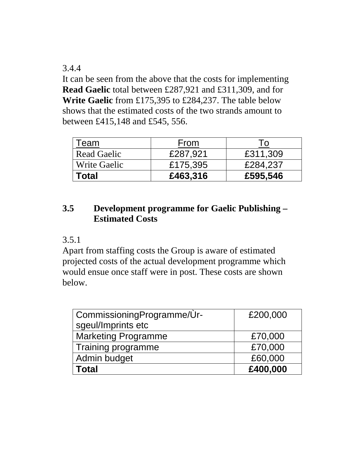#### 3.4.4

It can be seen from the above that the costs for implementing **Read Gaelic** total between £287,921 and £311,309, and for **Write Gaelic** from £175,395 to £284,237. The table below shows that the estimated costs of the two strands amount to between £415,148 and £545, 556.

| Геаm                | From     |          |
|---------------------|----------|----------|
| <b>Read Gaelic</b>  | £287,921 | £311,309 |
| <b>Write Gaelic</b> | £175,395 | £284,237 |
| <b>Total</b>        | £463,316 | £595,546 |

### **3.5 Development programme for Gaelic Publishing – Estimated Costs**

#### 3.5.1

Apart from staffing costs the Group is aware of estimated projected costs of the actual development programme which would ensue once staff were in post. These costs are shown below.

| CommissioningProgramme/Ur- | £200,000 |
|----------------------------|----------|
| sgeul/Imprints etc         |          |
| <b>Marketing Programme</b> | £70,000  |
| Training programme         | £70,000  |
| Admin budget               | £60,000  |
| <b>Total</b>               | £400,000 |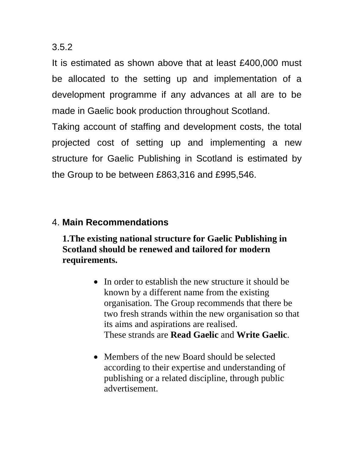#### 3.5.2

It is estimated as shown above that at least £400,000 must be allocated to the setting up and implementation of a development programme if any advances at all are to be made in Gaelic book production throughout Scotland.

Taking account of staffing and development costs, the total projected cost of setting up and implementing a new structure for Gaelic Publishing in Scotland is estimated by the Group to be between £863,316 and £995,546.

#### 4. **Main Recommendations**

### **1.The existing national structure for Gaelic Publishing in Scotland should be renewed and tailored for modern requirements.**

- In order to establish the new structure it should be known by a different name from the existing organisation. The Group recommends that there be two fresh strands within the new organisation so that its aims and aspirations are realised. These strands are **Read Gaelic** and **Write Gaelic**.
- Members of the new Board should be selected according to their expertise and understanding of publishing or a related discipline, through public advertisement.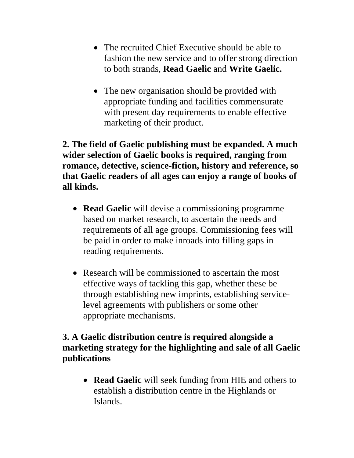- The recruited Chief Executive should be able to fashion the new service and to offer strong direction to both strands, **Read Gaelic** and **Write Gaelic.**
- The new organisation should be provided with appropriate funding and facilities commensurate with present day requirements to enable effective marketing of their product.

**2. The field of Gaelic publishing must be expanded. A much wider selection of Gaelic books is required, ranging from romance, detective, science-fiction, history and reference, so that Gaelic readers of all ages can enjoy a range of books of all kinds.**

- **Read Gaelic** will devise a commissioning programme based on market research, to ascertain the needs and requirements of all age groups. Commissioning fees will be paid in order to make inroads into filling gaps in reading requirements.
- Research will be commissioned to ascertain the most effective ways of tackling this gap, whether these be through establishing new imprints, establishing servicelevel agreements with publishers or some other appropriate mechanisms.

#### **3. A Gaelic distribution centre is required alongside a marketing strategy for the highlighting and sale of all Gaelic publications**

• **Read Gaelic** will seek funding from HIE and others to establish a distribution centre in the Highlands or Islands.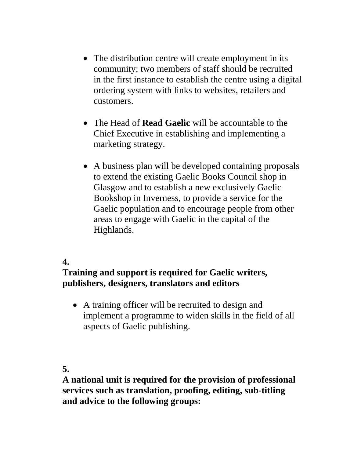- The distribution centre will create employment in its community; two members of staff should be recruited in the first instance to establish the centre using a digital ordering system with links to websites, retailers and customers.
- The Head of **Read Gaelic** will be accountable to the Chief Executive in establishing and implementing a marketing strategy.
- A business plan will be developed containing proposals to extend the existing Gaelic Books Council shop in Glasgow and to establish a new exclusively Gaelic Bookshop in Inverness, to provide a service for the Gaelic population and to encourage people from other areas to engage with Gaelic in the capital of the Highlands.

### **4.**

#### **Training and support is required for Gaelic writers, publishers, designers, translators and editors**

• A training officer will be recruited to design and implement a programme to widen skills in the field of all aspects of Gaelic publishing.

#### **5.**

**A national unit is required for the provision of professional services such as translation, proofing, editing, sub-titling and advice to the following groups:**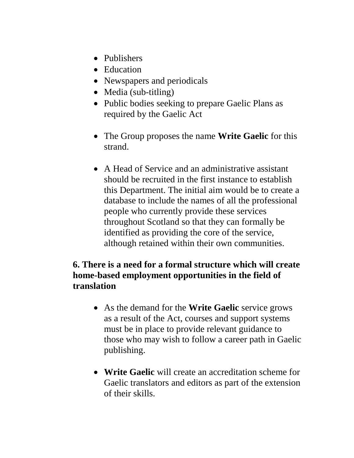- Publishers
- Education
- Newspapers and periodicals
- Media (sub-titling)
- Public bodies seeking to prepare Gaelic Plans as required by the Gaelic Act
- The Group proposes the name **Write Gaelic** for this strand.
- A Head of Service and an administrative assistant should be recruited in the first instance to establish this Department. The initial aim would be to create a database to include the names of all the professional people who currently provide these services throughout Scotland so that they can formally be identified as providing the core of the service, although retained within their own communities.

## **6. There is a need for a formal structure which will create home-based employment opportunities in the field of translation**

- As the demand for the **Write Gaelic** service grows as a result of the Act, courses and support systems must be in place to provide relevant guidance to those who may wish to follow a career path in Gaelic publishing.
- **Write Gaelic** will create an accreditation scheme for Gaelic translators and editors as part of the extension of their skills.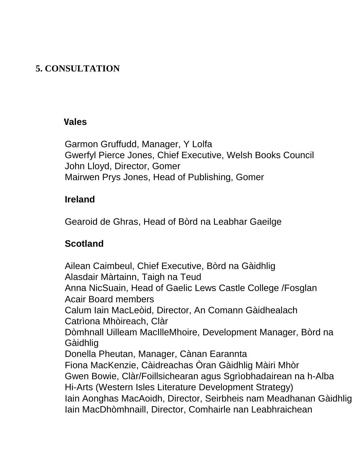## **5. CONSULTATION**

### **Wales**

Garmon Gruffudd, Manager, Y Lolfa Gwerfyl Pierce Jones, Chief Executive, Welsh Books Council John Lloyd, Director, Gomer Mairwen Prys Jones, Head of Publishing, Gomer

## **Ireland**

Gearoid de Ghras, Head of Bòrd na Leabhar Gaeilge

## **Scotland**

Ailean Caimbeul, Chief Executive, Bòrd na Gàidhlig Alasdair Màrtainn, Taigh na Teud Anna NicSuain, Head of Gaelic Lews Castle College /Fosglan Acair Board members Calum Iain MacLeòid, Director, An Comann Gàidhealach Catrìona Mhòireach, Clàr Dòmhnall Uilleam MacIlleMhoire, Development Manager, Bòrd na Gàidhlig Donella Pheutan, Manager, Cànan Earannta Fiona MacKenzie, Càidreachas Òran Gàidhlig Màiri Mhòr Gwen Bowie, Clàr/Foillsichearan agus Sgrìobhadairean na h-Alba Hi-Arts (Western Isles Literature Development Strategy) Iain Aonghas MacAoidh, Director, Seirbheis nam Meadhanan Gàidhlig Iain MacDhòmhnaill, Director, Comhairle nan Leabhraichean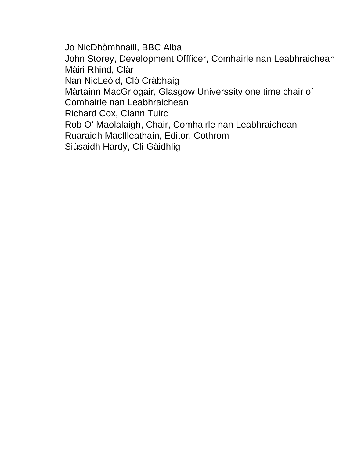Jo NicDhòmhnaill, BBC Alba John Storey, Development Offficer, Comhairle nan Leabhraichean Màiri Rhind, Clàr Nan NicLeòid, Clò Cràbhaig Màrtainn MacGriogair, Glasgow Universsity one time chair of Comhairle nan Leabhraichean Richard Cox, Clann Tuirc Rob O' Maolalaigh, Chair, Comhairle nan Leabhraichean Ruaraidh MacIlleathain, Editor, Cothrom Siùsaidh Hardy, Clì Gàidhlig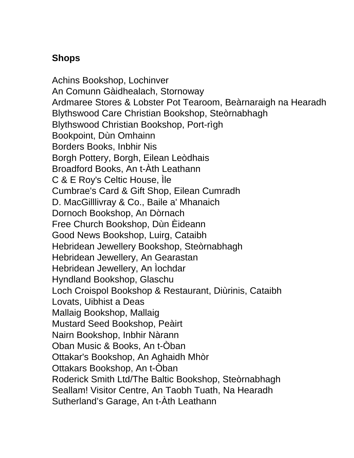## **Shops**

Achins Bookshop, Lochinver An Comunn Gàidhealach, Stornoway Ardmaree Stores & Lobster Pot Tearoom, Beàrnaraigh na Hearadh Blythswood Care Christian Bookshop, Steòrnabhagh Blythswood Christian Bookshop, Port-rìgh Bookpoint, Dùn Omhainn Borders Books, Inbhir Nis Borgh Pottery, Borgh, Eilean Leòdhais Broadford Books, An t-Àth Leathann C & E Roy's Celtic House, Ìle Cumbrae's Card & Gift Shop, Eilean Cumradh D. MacGilllivray & Co., Baile a' Mhanaich Dornoch Bookshop, An Dòrnach Free Church Bookshop, Dùn Èideann Good News Bookshop, Luirg, Cataibh Hebridean Jewellery Bookshop, Steòrnabhagh Hebridean Jewellery, An Gearastan Hebridean Jewellery, An Ìochdar Hyndland Bookshop, Glaschu Loch Croispol Bookshop & Restaurant, Diùrinis, Cataibh Lovats, Uibhist a Deas Mallaig Bookshop, Mallaig Mustard Seed Bookshop, Peàirt Nairn Bookshop, Inbhir Nàrann Oban Music & Books, An t-Òban Ottakar's Bookshop, An Aghaidh Mhòr Ottakars Bookshop, An t-Òban Roderick Smith Ltd/The Baltic Bookshop, Steòrnabhagh Seallam! Visitor Centre, An Taobh Tuath, Na Hearadh Sutherland's Garage, An t-Àth Leathann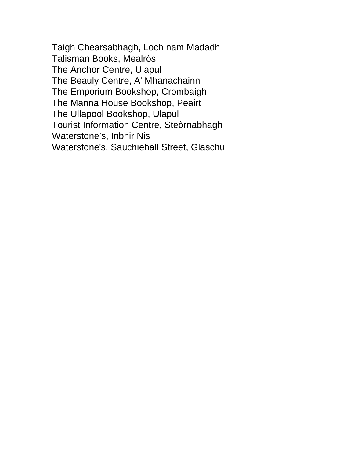Taigh Chearsabhagh, Loch nam Madadh Talisman Books, Mealròs The Anchor Centre, Ulapul The Beauly Centre, A' Mhanachainn The Emporium Bookshop, Crombaigh The Manna House Bookshop, Peairt The Ullapool Bookshop, Ulapul Tourist Information Centre, Steòrnabhagh Waterstone's, Inbhir Nis Waterstone's, Sauchiehall Street, Glaschu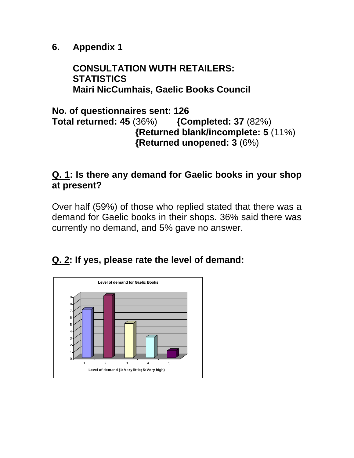**6. Appendix 1**

## **CONSULTATION WUTH RETAILERS: STATISTICS Mairi NicCumhais, Gaelic Books Council**

### **No. of questionnaires sent: 126 Total returned: 45** (36%) **{Completed: 37** (82%) **{Returned blank/incomplete: 5** (11%) **{Returned unopened: 3** (6%)

## **Q. 1: Is there any demand for Gaelic books in your shop at present?**

Over half (59%) of those who replied stated that there was a demand for Gaelic books in their shops. 36% said there was currently no demand, and 5% gave no answer.

## **Q. 2: If yes, please rate the level of demand:**

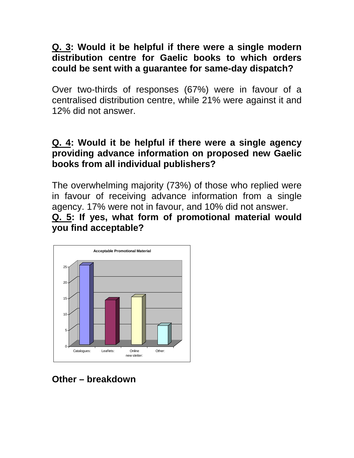### **Q. 3: Would it be helpful if there were a single modern distribution centre for Gaelic books to which orders could be sent with a guarantee for same-day dispatch?**

Over two-thirds of responses (67%) were in favour of a centralised distribution centre, while 21% were against it and 12% did not answer.

### **Q. 4: Would it be helpful if there were a single agency providing advance information on proposed new Gaelic books from all individual publishers?**

The overwhelming majority (73%) of those who replied were in favour of receiving advance information from a single agency. 17% were not in favour, and 10% did not answer. **Q. 5: If yes, what form of promotional material would you find acceptable?**



**Other – breakdown**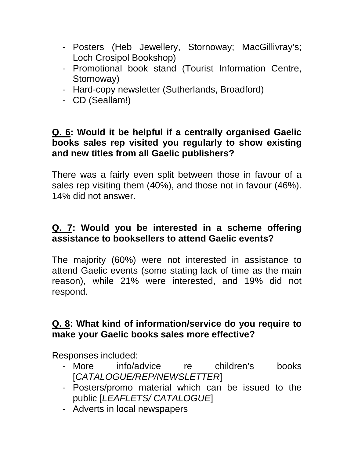- Posters (Heb Jewellery, Stornoway; MacGillivray's; Loch Crosipol Bookshop)
- Promotional book stand (Tourist Information Centre, Stornoway)
- Hard-copy newsletter (Sutherlands, Broadford)
- CD (Seallam!)

### **Q. 6: Would it be helpful if a centrally organised Gaelic books sales rep visited you regularly to show existing and new titles from all Gaelic publishers?**

There was a fairly even split between those in favour of a sales rep visiting them (40%), and those not in favour (46%). 14% did not answer.

## **Q. 7: Would you be interested in a scheme offering assistance to booksellers to attend Gaelic events?**

The majority (60%) were not interested in assistance to attend Gaelic events (some stating lack of time as the main reason), while 21% were interested, and 19% did not respond.

## **Q. 8: What kind of information/service do you require to make your Gaelic books sales more effective?**

Responses included:

- More info/advice re children's books [*CATALOGUE/REP/NEWSLETTER*]
- Posters/promo material which can be issued to the public [*LEAFLETS/ CATALOGUE*]
- Adverts in local newspapers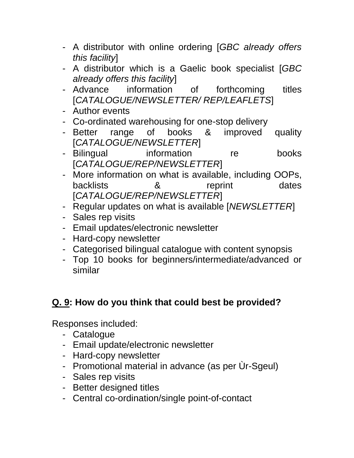- A distributor with online ordering [*GBC already offers this facility*]
- A distributor which is a Gaelic book specialist [*GBC already offers this facility*]
- Advance information of forthcoming titles [*CATALOGUE/NEWSLETTER/ REP/LEAFLETS*]
- Author events
- Co-ordinated warehousing for one-stop delivery
- Better range of books & improved quality [*CATALOGUE/NEWSLETTER*]
- Bilingual information re books [*CATALOGUE/REP/NEWSLETTER*]
- More information on what is available, including OOPs, backlists **8** reprint dates [*CATALOGUE/REP/NEWSLETTER*]
- Regular updates on what is available [*NEWSLETTER*]
- Sales rep visits
- Email updates/electronic newsletter
- Hard-copy newsletter
- Categorised bilingual catalogue with content synopsis
- Top 10 books for beginners/intermediate/advanced or similar

## **Q. 9: How do you think that could best be provided?**

Responses included:

- Catalogue
- Email update/electronic newsletter
- Hard-copy newsletter
- Promotional material in advance (as per Ùr-Sgeul)
- Sales rep visits
- Better designed titles
- Central co-ordination/single point-of-contact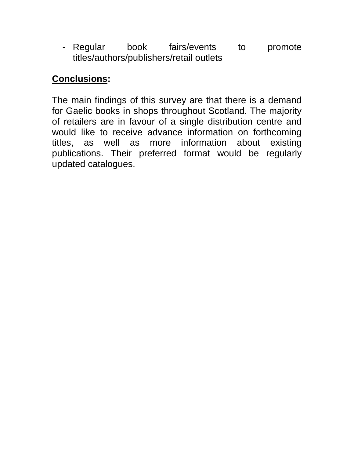- Regular book fairs/events to promote titles/authors/publishers/retail outlets

## **Conclusions:**

The main findings of this survey are that there is a demand for Gaelic books in shops throughout Scotland. The majority of retailers are in favour of a single distribution centre and would like to receive advance information on forthcoming titles, as well as more information about existing publications. Their preferred format would be regularly updated catalogues.